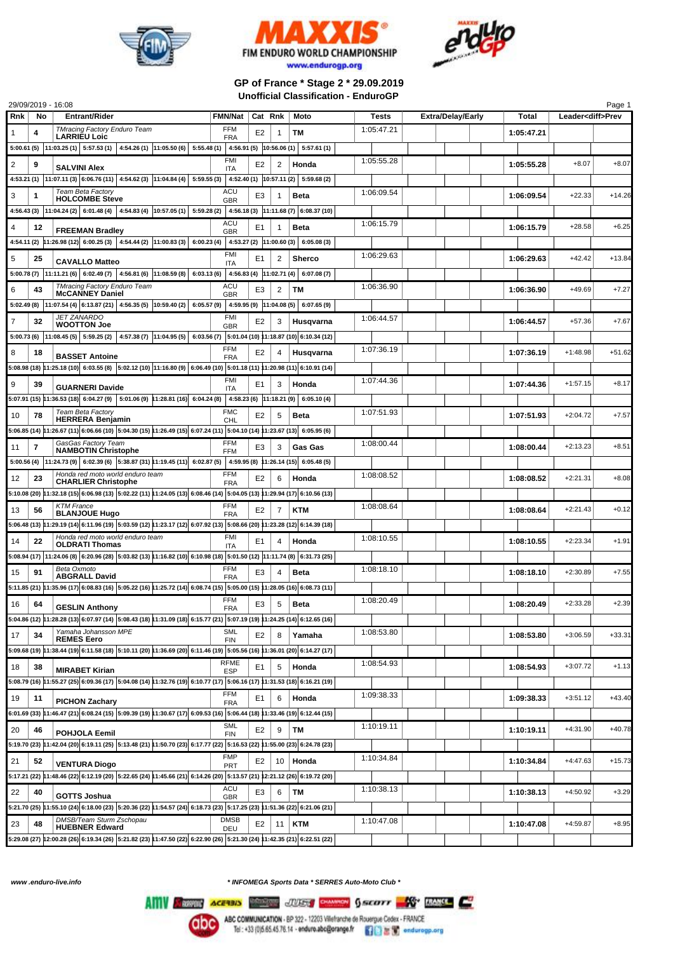





## **GP of France \* Stage 2 \* 29.09.2019 Unofficial Classification - EnduroGP**

| Cat Rnk<br>Leader <diff>Prev<br/><b>TMracing Factory Enduro Team</b><br/>FFM<br/>1:05:47.21<br/>E<sub>2</sub><br/>TМ<br/>1:05:47.21<br/>1<br/>4<br/>1<br/><b>LARRIEU Loic</b><br/><b>FRA</b><br/><math>5:00.61(5)</math>   11:03.25 (1)   5:57.53 (1)   4:54.26 (1)   11:05.50 (6)  <br/><math>5:55.48(1)</math> 4:56.91 (5) 10:56.06 (1) 5:57.61 (1)<br/><b>FMI</b><br/>1:05:55.28<br/><math>\overline{c}</math><br/>9<br/><math>\overline{2}</math><br/><math>+8.07</math><br/><math>+8.07</math><br/>E<sub>2</sub><br/>Honda<br/>1:05:55.28<br/><b>SALVINI Alex</b><br/>ITA<br/>4:53.21 (1)  11:07.11 (3)  6:06.76 (11)   4:54.62 (3)  11:04.84 (4)  <br/>5:59.55(3)<br/>4:52.40 (1) <math>\vert</math> 10:57.11 (2) <math>\vert</math> 5:59.68 (2)<br/><b>Team Beta Factory</b><br/>ACU<br/>1:06:09.54<br/>1:06:09.54<br/><math>+22.33</math><br/><math>+14.26</math><br/>3<br/>1<br/>E3<br/><b>Beta</b><br/><b>HOLCOMBE Steve</b><br/><b>GBR</b><br/>11:04.24 (2) 6:01.48 (4) 4:54.83 (4) 10:57.05 (1)<br/>5:59.28 (2)<br/>4:56.18 (3) 11:11.68 (7) 6:08.37 (10)<br/>4:56.43 (3)<br/>ACU<br/>1:06:15.79<br/><math>+6.25</math><br/>1:06:15.79<br/><math>+28.58</math><br/>4<br/>E1<br/><b>Beta</b><br/>12<br/>1<br/><b>FREEMAN Bradley</b><br/><b>GBR</b><br/>4:54.11 (2) <math> 11:26.98(12) </math> 6:00.25 (3) 4:54.44 (2) <math> 11:00.83(3) </math> 6:00.23 (4) 4:53.27 (2) <math> 11:00.60(3) </math> 6:05.08 (3)<br/><b>FMI</b><br/>1:06:29.63<br/>1:06:29.63<br/><math>+42.42</math><br/><math>+13.84</math><br/>5<br/>25<br/>E1<br/>2<br/><b>Sherco</b><br/><b>CAVALLO Matteo</b><br/><b>ITA</b><br/><math>5:00.78(7)</math>  11:11.21(6)   6:02.49(7)   4:56.81(6)  11:08.59(8)<br/>6:03.13(6)<br/>4:56.83 (4) 11:02.71 (4) 6:07.08 (7)<br/><b>TMracing Factory Enduro Team</b><br/>ACU<br/>1:06:36.90<br/><math>+49.69</math><br/><math>+7.27</math><br/>6<br/><math>\overline{\mathbf{c}}</math><br/>ТM<br/>1:06:36.90<br/>43<br/>E3<br/><b>McCANNEY Daniel</b><br/><b>GBR</b><br/>4:59.95 (9) 11:04.08 (5) 6:07.65 (9)<br/><math>5:02.49(8)</math>   11:07.54 (4)   6:13.87 (21)   4:56.35 (5)   10:59.40 (2)  <br/>6:05.57(9)<br/><b>JET ZANARDO</b><br/>FMI<br/>1:06:44.57<br/>E<sub>2</sub><br/><math>+57.36</math><br/><math>+7.67</math><br/>7<br/>32<br/>3<br/>Husqvarna<br/>1:06:44.57<br/><b>WOOTTON Joe</b><br/><b>GBR</b><br/><math>6:03.56(7)</math> 5:01.04 (10) 11:18.87 (10) 6:10.34 (12)<br/>5:00.73 (6) 11:08.45 (5) 5:59.25 (2)<br/><math>4:57.38(7)</math> 11:04.95(5)<br/><b>FFM</b><br/>1:07:36.19<br/>E<sub>2</sub><br/>1:07:36.19<br/><math>+1:48.98</math><br/><math>+51.62</math><br/>8<br/>18<br/>4<br/>Husqvarna<br/><b>BASSET Antoine</b><br/><b>FRA</b><br/>5:08.98 (18) 11:25.18 (10) 6:03.55 (8) 5:02.12 (10) 11:16.80 (9) 6:06.49 (10) 5:01.18 (11) 11:20.98 (11) 6:10.91 (14)<br/><b>FMI</b><br/>1:07:44.36<br/>9<br/>E<sub>1</sub><br/>1:07:44.36<br/><math>+1:57.15</math><br/><math>+8.17</math><br/>39<br/>3<br/>Honda<br/><b>GUARNERI Davide</b><br/><b>ITA</b><br/><math>5:07.91(15)</math> <math> 11:36.53(18)</math> 6:04.27(9) 5:01.06(9) 11:28.81(16) 6:04.24(8)<br/>4:58.23 (6) <math> 11:18.21</math> (9) 6:05.10 (4)<br/>Team Beta Factory<br/><b>FMC</b><br/>1:07:51.93<br/><math>+7.57</math><br/><b>Beta</b><br/>1:07:51.93<br/><math>+2:04.72</math><br/>10<br/>78<br/>E<sub>2</sub><br/>5<br/><b>HERRERA Benjamin</b><br/><b>CHL</b><br/>5:06.85 (14) 11:26.67 (11) 6:06.66 (10) 5:04.30 (15) 11:26.49 (15) 6:07.24 (11) 5:04.10 (14) 11:23.67 (13) 6:05.95 (6)<br/>GasGas Factory Team<br/><b>FFM</b><br/>1:08:00.44<br/><math>+8.51</math><br/><math>\overline{\mathbf{r}}</math><br/>E<sub>3</sub><br/>1:08:00.44<br/><math>+2:13.23</math><br/>3<br/>Gas Gas<br/>11<br/><b>NAMBOTIN Christophe</b><br/><b>FFM</b><br/><math>5:00.56(4)</math> <math> 11:24.73(9) </math> <math>6:02.39(6)</math> <math> 5:38.87(31) 1:19.45(11) </math> <math>6:02.87(5)</math><br/>4:59.95 (8) 11:26.14 (15) 6:05.48 (5)<br/>Honda red moto world enduro team<br/><b>FFM</b><br/>1:08:08.52<br/><math>+2:21.31</math><br/><math>+8.08</math><br/>E<sub>2</sub><br/>1:08:08.52<br/>12<br/>23<br/>6<br/>Honda<br/><b>CHARLIER Christophe</b><br/><b>FRA</b><br/>5:10.08 (20) 11:32.18 (15) 6:06.98 (13) 5:02.22 (11) 11:24.05 (13) 6:08.46 (14) 5:04.05 (13) 11:29.94 (17) 6:10.56 (13)<br/><b>KTM France</b><br/><b>FFM</b><br/>1:08:08.64<br/>E<sub>2</sub><br/><b>KTM</b><br/>1:08:08.64<br/><math>+2:21.43</math><br/><math>+0.12</math><br/>7<br/>13<br/>56<br/><b>BLANJOUE Hugo</b><br/><b>FRA</b><br/>5:06.48 (13) 11:29.19 (14) 6:11.96 (19) 5:03.59 (12) 11:23.17 (12) 6:07.92 (13) 5:08.66 (20) 11:23.28 (12) 6:14.39 (18)<br/>Honda red moto world enduro team<br/>FMI<br/>1:08:10.55<br/><math>+2:23.34</math><br/><math>+1.91</math><br/>1:08:10.55<br/>14<br/>22<br/>E1<br/>Honda<br/>4<br/><b>OLDRATI Thomas</b><br/><b>ITA</b><br/>5:08.94 (17) 11:24.06 (8) 6:20.96 (28) 5:03.82 (13) 11:16.82 (10) 6:10.98 (18) 5:01.50 (12) 11:11.74 (8) 6:31.73 (25)<br/>Beta Oxmoto<br/>FFM<br/>1:08:18.10<br/><math>+7.55</math><br/>E<sub>3</sub><br/>1:08:18.10<br/><math>+2:30.89</math><br/>15<br/>91<br/>4<br/>Beta<br/><b>ABGRALL David</b><br/><b>FRA</b><br/>5:11.85 (21) 11:35.96 (17) 6:08.83 (16) 5:05.22 (16) 11:25.72 (14) 6:08.74 (15) 5:05.00 (15) 11:28.05 (16) 6:08.73 (11)<br/><b>FFM</b><br/>1:08:20.49<br/><math>+2:33.28</math><br/><math>+2.39</math><br/>E3<br/>5<br/>1:08:20.49<br/>16<br/>64<br/><b>Beta</b><br/><b>GESLIN Anthony</b><br/><b>FRA</b><br/>5:04.86 (12) 11:28.28 (13) 6:07.97 (14) 5:08.43 (18) 11:31.09 (18) 6:15.77 (21) 5:07.19 (19) 11:24.25 (14) 6:12.65 (16)<br/>Yamaha Johansson MPE<br/>SML<br/>1:08:53.80<br/>17<br/>E<sub>2</sub><br/>1:08:53.80<br/><math>+3:06.59</math><br/><math>+33.31</math><br/>34<br/>8<br/>Yamaha<br/><b>REMES Eero</b><br/><b>FIN</b><br/>5:09.68 (19) 11:38.44 (19) 6:11.58 (18) 5:10.11 (20) 11:36.69 (20) 6:11.46 (19) 5:05.56 (16) 11:36.01 (20) 6:14.27 (17)<br/><b>RFME</b><br/>1:08:54.93<br/><math>+3:07.72</math><br/><math>+1.13</math><br/>18<br/>Honda<br/>1:08:54.93<br/>E1<br/>5<br/>38<br/><b>MIRABET Kirian</b><br/><b>ESP</b><br/>5:08.79 (16) 11:55.27 (25) 6:09.36 (17) 5:04.08 (14) 11:32.76 (19) 6:10.77 (17) 5:06.16 (17) 11:31.53 (18) 6:16.21 (19)<br/>FFM<br/>1:09:38.33<br/>1:09:38.33<br/><math>+3:51.12</math><br/><math>+43.40</math><br/>19<br/>E<sub>1</sub><br/>Honda<br/>11<br/>6<br/><b>PICHON Zachary</b><br/><b>FRA</b><br/>6:01.69 (33) 11:46.47 (21) 6:08.24 (15) 5:09.39 (19) 11:30.67 (17) 6:09.53 (16) 5:06.44 (18) 11:33.46 (19) 6:12.44 (15)<br/><b>SML</b><br/>1:10:19.11<br/><math>+40.78</math><br/>20<br/><b>TM</b><br/>+4:31.90<br/>E<sub>2</sub><br/>9<br/>1:10:19.11<br/>46<br/>POHJOLA Eemil<br/><b>FIN</b><br/>5:19.70 (23) 11:42.04 (20) 6:19.11 (25) 5:13.48 (21) 11:50.70 (23) 6:17.77 (22) 5:16.53 (22) 11:55.00 (23) 6:24.78 (23)<br/><b>FMP</b><br/>1:10:34.84<br/>1:10:34.84<br/><math>+4:47.63</math><br/><math>+15.73</math><br/>E<sub>2</sub><br/>10<br/>Honda<br/>52<br/><b>VENTURA Diogo</b><br/>PRT<br/>5:17.21 (22) 11:48.46 (22) 6:12.19 (20) 5:22.65 (24) 11:45.66 (21) 6:14.26 (20) 5:13.57 (21) 12:21.12 (26) 6:19.72 (20)<br/>ACU<br/>1:10:38.13<br/>22<br/><math>+4:50.92</math><br/><math>+3.29</math><br/>E3<br/>TM<br/>1:10:38.13<br/>40<br/>6<br/><b>GOTTS Joshua</b><br/><b>GBR</b><br/>5:21.70 (25) 11:55.10 (24) 6:18.00 (23) 5:20.36 (22) 11:54.57 (24) 6:18.73 (23) 5:17.25 (23) 11:51.36 (22) 6:21.06 (21)<br/>DMSB/Team Sturm Zschopau<br/><b>DMSB</b><br/>1:10:47.08<br/><b>KTM</b><br/><math>+4:59.87</math><br/><math>+8.95</math><br/>23<br/>48<br/>E<sub>2</sub><br/>1:10:47.08<br/>11<br/><b>HUEBNER Edward</b><br/>DEU<br/>5:29.08 (27) 12:00.28 (26) 6:19.34 (26) 5:21.82 (23) 11:47.50 (22) 6:22.90 (26) 5:21.30 (24) 11:42.35 (21) 6:22.51 (22)</diff> |     |    | 29/09/2019 - 16:08   |         |  |      |       |                          |       | Page 1 |
|----------------------------------------------------------------------------------------------------------------------------------------------------------------------------------------------------------------------------------------------------------------------------------------------------------------------------------------------------------------------------------------------------------------------------------------------------------------------------------------------------------------------------------------------------------------------------------------------------------------------------------------------------------------------------------------------------------------------------------------------------------------------------------------------------------------------------------------------------------------------------------------------------------------------------------------------------------------------------------------------------------------------------------------------------------------------------------------------------------------------------------------------------------------------------------------------------------------------------------------------------------------------------------------------------------------------------------------------------------------------------------------------------------------------------------------------------------------------------------------------------------------------------------------------------------------------------------------------------------------------------------------------------------------------------------------------------------------------------------------------------------------------------------------------------------------------------------------------------------------------------------------------------------------------------------------------------------------------------------------------------------------------------------------------------------------------------------------------------------------------------------------------------------------------------------------------------------------------------------------------------------------------------------------------------------------------------------------------------------------------------------------------------------------------------------------------------------------------------------------------------------------------------------------------------------------------------------------------------------------------------------------------------------------------------------------------------------------------------------------------------------------------------------------------------------------------------------------------------------------------------------------------------------------------------------------------------------------------------------------------------------------------------------------------------------------------------------------------------------------------------------------------------------------------------------------------------------------------------------------------------------------------------------------------------------------------------------------------------------------------------------------------------------------------------------------------------------------------------------------------------------------------------------------------------------------------------------------------------------------------------------------------------------------------------------------------------------------------------------------------------------------------------------------------------------------------------------------------------------------------------------------------------------------------------------------------------------------------------------------------------------------------------------------------------------------------------------------------------------------------------------------------------------------------------------------------------------------------------------------------------------------------------------------------------------------------------------------------------------------------------------------------------------------------------------------------------------------------------------------------------------------------------------------------------------------------------------------------------------------------------------------------------------------------------------------------------------------------------------------------------------------------------------------------------------------------------------------------------------------------------------------------------------------------------------------------------------------------------------------------------------------------------------------------------------------------------------------------------------------------------------------------------------------------------------------------------------------------------------------------------------------------------------------------------------------------------------------------------------------------------------------------------------------------------------------------------------------------------------------------------------------------------------------------------------------------------------------------------------------------------------------------------------------------------------------------------------------------------------------------------------------------------------------------------------------------------------------------------------------------------------------------------------------------------------------------------------------------------------------------------------------------------------------------------------------------------------------------------------------------------------------------------------------------------------------------------------------------------------------------------------------------------------------------------------------------------------------------------------------------------------------------------------------------------------------------------------------------------------------------------------------------------------------------------------------------------------------------------------------------------------------------------------------------------------------------------------------------------------------------------------------------------------------------------------------------------------------------------------------------------------------------------------------------------------------------------------------------------------------------------------------------------------------------------------------------------------------------------------------------------------------------------------------------------------------------------------------------------------------------------------------------------------------------------------------------------------------------------------------------------------------------------------------------------------------------------------------------------------------------------------------------------------------------------------------------------------------------------------------------------------------------------------------------------------------------------------------------------------------------------------------------------------------------------------------------------------------------------------------------------------------------|-----|----|----------------------|---------|--|------|-------|--------------------------|-------|--------|
|                                                                                                                                                                                                                                                                                                                                                                                                                                                                                                                                                                                                                                                                                                                                                                                                                                                                                                                                                                                                                                                                                                                                                                                                                                                                                                                                                                                                                                                                                                                                                                                                                                                                                                                                                                                                                                                                                                                                                                                                                                                                                                                                                                                                                                                                                                                                                                                                                                                                                                                                                                                                                                                                                                                                                                                                                                                                                                                                                                                                                                                                                                                                                                                                                                                                                                                                                                                                                                                                                                                                                                                                                                                                                                                                                                                                                                                                                                                                                                                                                                                                                                                                                                                                                                                                                                                                                                                                                                                                                                                                                                                                                                                                                                                                                                                                                                                                                                                                                                                                                                                                                                                                                                                                                                                                                                                                                                                                                                                                                                                                                                                                                                                                                                                                                                                                                                                                                                                                                                                                                                                                                                                                                                                                                                                                                                                                                                                                                                                                                                                                                                                                                                                                                                                                                                                                                                                                                                                                                                                                                                                                                                                                                                                                                                                                                                                                                                                                                                                                                                                                                                                                                                                                                                                                                                                                                                                                                              | Rnk | No | <b>Entrant/Rider</b> | FMN/Nat |  | Moto | Tests | <b>Extra/Delay/Early</b> | Total |        |
|                                                                                                                                                                                                                                                                                                                                                                                                                                                                                                                                                                                                                                                                                                                                                                                                                                                                                                                                                                                                                                                                                                                                                                                                                                                                                                                                                                                                                                                                                                                                                                                                                                                                                                                                                                                                                                                                                                                                                                                                                                                                                                                                                                                                                                                                                                                                                                                                                                                                                                                                                                                                                                                                                                                                                                                                                                                                                                                                                                                                                                                                                                                                                                                                                                                                                                                                                                                                                                                                                                                                                                                                                                                                                                                                                                                                                                                                                                                                                                                                                                                                                                                                                                                                                                                                                                                                                                                                                                                                                                                                                                                                                                                                                                                                                                                                                                                                                                                                                                                                                                                                                                                                                                                                                                                                                                                                                                                                                                                                                                                                                                                                                                                                                                                                                                                                                                                                                                                                                                                                                                                                                                                                                                                                                                                                                                                                                                                                                                                                                                                                                                                                                                                                                                                                                                                                                                                                                                                                                                                                                                                                                                                                                                                                                                                                                                                                                                                                                                                                                                                                                                                                                                                                                                                                                                                                                                                                                              |     |    |                      |         |  |      |       |                          |       |        |
|                                                                                                                                                                                                                                                                                                                                                                                                                                                                                                                                                                                                                                                                                                                                                                                                                                                                                                                                                                                                                                                                                                                                                                                                                                                                                                                                                                                                                                                                                                                                                                                                                                                                                                                                                                                                                                                                                                                                                                                                                                                                                                                                                                                                                                                                                                                                                                                                                                                                                                                                                                                                                                                                                                                                                                                                                                                                                                                                                                                                                                                                                                                                                                                                                                                                                                                                                                                                                                                                                                                                                                                                                                                                                                                                                                                                                                                                                                                                                                                                                                                                                                                                                                                                                                                                                                                                                                                                                                                                                                                                                                                                                                                                                                                                                                                                                                                                                                                                                                                                                                                                                                                                                                                                                                                                                                                                                                                                                                                                                                                                                                                                                                                                                                                                                                                                                                                                                                                                                                                                                                                                                                                                                                                                                                                                                                                                                                                                                                                                                                                                                                                                                                                                                                                                                                                                                                                                                                                                                                                                                                                                                                                                                                                                                                                                                                                                                                                                                                                                                                                                                                                                                                                                                                                                                                                                                                                                                              |     |    |                      |         |  |      |       |                          |       |        |
|                                                                                                                                                                                                                                                                                                                                                                                                                                                                                                                                                                                                                                                                                                                                                                                                                                                                                                                                                                                                                                                                                                                                                                                                                                                                                                                                                                                                                                                                                                                                                                                                                                                                                                                                                                                                                                                                                                                                                                                                                                                                                                                                                                                                                                                                                                                                                                                                                                                                                                                                                                                                                                                                                                                                                                                                                                                                                                                                                                                                                                                                                                                                                                                                                                                                                                                                                                                                                                                                                                                                                                                                                                                                                                                                                                                                                                                                                                                                                                                                                                                                                                                                                                                                                                                                                                                                                                                                                                                                                                                                                                                                                                                                                                                                                                                                                                                                                                                                                                                                                                                                                                                                                                                                                                                                                                                                                                                                                                                                                                                                                                                                                                                                                                                                                                                                                                                                                                                                                                                                                                                                                                                                                                                                                                                                                                                                                                                                                                                                                                                                                                                                                                                                                                                                                                                                                                                                                                                                                                                                                                                                                                                                                                                                                                                                                                                                                                                                                                                                                                                                                                                                                                                                                                                                                                                                                                                                                              |     |    |                      |         |  |      |       |                          |       |        |
|                                                                                                                                                                                                                                                                                                                                                                                                                                                                                                                                                                                                                                                                                                                                                                                                                                                                                                                                                                                                                                                                                                                                                                                                                                                                                                                                                                                                                                                                                                                                                                                                                                                                                                                                                                                                                                                                                                                                                                                                                                                                                                                                                                                                                                                                                                                                                                                                                                                                                                                                                                                                                                                                                                                                                                                                                                                                                                                                                                                                                                                                                                                                                                                                                                                                                                                                                                                                                                                                                                                                                                                                                                                                                                                                                                                                                                                                                                                                                                                                                                                                                                                                                                                                                                                                                                                                                                                                                                                                                                                                                                                                                                                                                                                                                                                                                                                                                                                                                                                                                                                                                                                                                                                                                                                                                                                                                                                                                                                                                                                                                                                                                                                                                                                                                                                                                                                                                                                                                                                                                                                                                                                                                                                                                                                                                                                                                                                                                                                                                                                                                                                                                                                                                                                                                                                                                                                                                                                                                                                                                                                                                                                                                                                                                                                                                                                                                                                                                                                                                                                                                                                                                                                                                                                                                                                                                                                                                              |     |    |                      |         |  |      |       |                          |       |        |
|                                                                                                                                                                                                                                                                                                                                                                                                                                                                                                                                                                                                                                                                                                                                                                                                                                                                                                                                                                                                                                                                                                                                                                                                                                                                                                                                                                                                                                                                                                                                                                                                                                                                                                                                                                                                                                                                                                                                                                                                                                                                                                                                                                                                                                                                                                                                                                                                                                                                                                                                                                                                                                                                                                                                                                                                                                                                                                                                                                                                                                                                                                                                                                                                                                                                                                                                                                                                                                                                                                                                                                                                                                                                                                                                                                                                                                                                                                                                                                                                                                                                                                                                                                                                                                                                                                                                                                                                                                                                                                                                                                                                                                                                                                                                                                                                                                                                                                                                                                                                                                                                                                                                                                                                                                                                                                                                                                                                                                                                                                                                                                                                                                                                                                                                                                                                                                                                                                                                                                                                                                                                                                                                                                                                                                                                                                                                                                                                                                                                                                                                                                                                                                                                                                                                                                                                                                                                                                                                                                                                                                                                                                                                                                                                                                                                                                                                                                                                                                                                                                                                                                                                                                                                                                                                                                                                                                                                                              |     |    |                      |         |  |      |       |                          |       |        |
|                                                                                                                                                                                                                                                                                                                                                                                                                                                                                                                                                                                                                                                                                                                                                                                                                                                                                                                                                                                                                                                                                                                                                                                                                                                                                                                                                                                                                                                                                                                                                                                                                                                                                                                                                                                                                                                                                                                                                                                                                                                                                                                                                                                                                                                                                                                                                                                                                                                                                                                                                                                                                                                                                                                                                                                                                                                                                                                                                                                                                                                                                                                                                                                                                                                                                                                                                                                                                                                                                                                                                                                                                                                                                                                                                                                                                                                                                                                                                                                                                                                                                                                                                                                                                                                                                                                                                                                                                                                                                                                                                                                                                                                                                                                                                                                                                                                                                                                                                                                                                                                                                                                                                                                                                                                                                                                                                                                                                                                                                                                                                                                                                                                                                                                                                                                                                                                                                                                                                                                                                                                                                                                                                                                                                                                                                                                                                                                                                                                                                                                                                                                                                                                                                                                                                                                                                                                                                                                                                                                                                                                                                                                                                                                                                                                                                                                                                                                                                                                                                                                                                                                                                                                                                                                                                                                                                                                                                              |     |    |                      |         |  |      |       |                          |       |        |
|                                                                                                                                                                                                                                                                                                                                                                                                                                                                                                                                                                                                                                                                                                                                                                                                                                                                                                                                                                                                                                                                                                                                                                                                                                                                                                                                                                                                                                                                                                                                                                                                                                                                                                                                                                                                                                                                                                                                                                                                                                                                                                                                                                                                                                                                                                                                                                                                                                                                                                                                                                                                                                                                                                                                                                                                                                                                                                                                                                                                                                                                                                                                                                                                                                                                                                                                                                                                                                                                                                                                                                                                                                                                                                                                                                                                                                                                                                                                                                                                                                                                                                                                                                                                                                                                                                                                                                                                                                                                                                                                                                                                                                                                                                                                                                                                                                                                                                                                                                                                                                                                                                                                                                                                                                                                                                                                                                                                                                                                                                                                                                                                                                                                                                                                                                                                                                                                                                                                                                                                                                                                                                                                                                                                                                                                                                                                                                                                                                                                                                                                                                                                                                                                                                                                                                                                                                                                                                                                                                                                                                                                                                                                                                                                                                                                                                                                                                                                                                                                                                                                                                                                                                                                                                                                                                                                                                                                                              |     |    |                      |         |  |      |       |                          |       |        |
|                                                                                                                                                                                                                                                                                                                                                                                                                                                                                                                                                                                                                                                                                                                                                                                                                                                                                                                                                                                                                                                                                                                                                                                                                                                                                                                                                                                                                                                                                                                                                                                                                                                                                                                                                                                                                                                                                                                                                                                                                                                                                                                                                                                                                                                                                                                                                                                                                                                                                                                                                                                                                                                                                                                                                                                                                                                                                                                                                                                                                                                                                                                                                                                                                                                                                                                                                                                                                                                                                                                                                                                                                                                                                                                                                                                                                                                                                                                                                                                                                                                                                                                                                                                                                                                                                                                                                                                                                                                                                                                                                                                                                                                                                                                                                                                                                                                                                                                                                                                                                                                                                                                                                                                                                                                                                                                                                                                                                                                                                                                                                                                                                                                                                                                                                                                                                                                                                                                                                                                                                                                                                                                                                                                                                                                                                                                                                                                                                                                                                                                                                                                                                                                                                                                                                                                                                                                                                                                                                                                                                                                                                                                                                                                                                                                                                                                                                                                                                                                                                                                                                                                                                                                                                                                                                                                                                                                                                              |     |    |                      |         |  |      |       |                          |       |        |
|                                                                                                                                                                                                                                                                                                                                                                                                                                                                                                                                                                                                                                                                                                                                                                                                                                                                                                                                                                                                                                                                                                                                                                                                                                                                                                                                                                                                                                                                                                                                                                                                                                                                                                                                                                                                                                                                                                                                                                                                                                                                                                                                                                                                                                                                                                                                                                                                                                                                                                                                                                                                                                                                                                                                                                                                                                                                                                                                                                                                                                                                                                                                                                                                                                                                                                                                                                                                                                                                                                                                                                                                                                                                                                                                                                                                                                                                                                                                                                                                                                                                                                                                                                                                                                                                                                                                                                                                                                                                                                                                                                                                                                                                                                                                                                                                                                                                                                                                                                                                                                                                                                                                                                                                                                                                                                                                                                                                                                                                                                                                                                                                                                                                                                                                                                                                                                                                                                                                                                                                                                                                                                                                                                                                                                                                                                                                                                                                                                                                                                                                                                                                                                                                                                                                                                                                                                                                                                                                                                                                                                                                                                                                                                                                                                                                                                                                                                                                                                                                                                                                                                                                                                                                                                                                                                                                                                                                                              |     |    |                      |         |  |      |       |                          |       |        |
|                                                                                                                                                                                                                                                                                                                                                                                                                                                                                                                                                                                                                                                                                                                                                                                                                                                                                                                                                                                                                                                                                                                                                                                                                                                                                                                                                                                                                                                                                                                                                                                                                                                                                                                                                                                                                                                                                                                                                                                                                                                                                                                                                                                                                                                                                                                                                                                                                                                                                                                                                                                                                                                                                                                                                                                                                                                                                                                                                                                                                                                                                                                                                                                                                                                                                                                                                                                                                                                                                                                                                                                                                                                                                                                                                                                                                                                                                                                                                                                                                                                                                                                                                                                                                                                                                                                                                                                                                                                                                                                                                                                                                                                                                                                                                                                                                                                                                                                                                                                                                                                                                                                                                                                                                                                                                                                                                                                                                                                                                                                                                                                                                                                                                                                                                                                                                                                                                                                                                                                                                                                                                                                                                                                                                                                                                                                                                                                                                                                                                                                                                                                                                                                                                                                                                                                                                                                                                                                                                                                                                                                                                                                                                                                                                                                                                                                                                                                                                                                                                                                                                                                                                                                                                                                                                                                                                                                                                              |     |    |                      |         |  |      |       |                          |       |        |
|                                                                                                                                                                                                                                                                                                                                                                                                                                                                                                                                                                                                                                                                                                                                                                                                                                                                                                                                                                                                                                                                                                                                                                                                                                                                                                                                                                                                                                                                                                                                                                                                                                                                                                                                                                                                                                                                                                                                                                                                                                                                                                                                                                                                                                                                                                                                                                                                                                                                                                                                                                                                                                                                                                                                                                                                                                                                                                                                                                                                                                                                                                                                                                                                                                                                                                                                                                                                                                                                                                                                                                                                                                                                                                                                                                                                                                                                                                                                                                                                                                                                                                                                                                                                                                                                                                                                                                                                                                                                                                                                                                                                                                                                                                                                                                                                                                                                                                                                                                                                                                                                                                                                                                                                                                                                                                                                                                                                                                                                                                                                                                                                                                                                                                                                                                                                                                                                                                                                                                                                                                                                                                                                                                                                                                                                                                                                                                                                                                                                                                                                                                                                                                                                                                                                                                                                                                                                                                                                                                                                                                                                                                                                                                                                                                                                                                                                                                                                                                                                                                                                                                                                                                                                                                                                                                                                                                                                                              |     |    |                      |         |  |      |       |                          |       |        |
|                                                                                                                                                                                                                                                                                                                                                                                                                                                                                                                                                                                                                                                                                                                                                                                                                                                                                                                                                                                                                                                                                                                                                                                                                                                                                                                                                                                                                                                                                                                                                                                                                                                                                                                                                                                                                                                                                                                                                                                                                                                                                                                                                                                                                                                                                                                                                                                                                                                                                                                                                                                                                                                                                                                                                                                                                                                                                                                                                                                                                                                                                                                                                                                                                                                                                                                                                                                                                                                                                                                                                                                                                                                                                                                                                                                                                                                                                                                                                                                                                                                                                                                                                                                                                                                                                                                                                                                                                                                                                                                                                                                                                                                                                                                                                                                                                                                                                                                                                                                                                                                                                                                                                                                                                                                                                                                                                                                                                                                                                                                                                                                                                                                                                                                                                                                                                                                                                                                                                                                                                                                                                                                                                                                                                                                                                                                                                                                                                                                                                                                                                                                                                                                                                                                                                                                                                                                                                                                                                                                                                                                                                                                                                                                                                                                                                                                                                                                                                                                                                                                                                                                                                                                                                                                                                                                                                                                                                              |     |    |                      |         |  |      |       |                          |       |        |
|                                                                                                                                                                                                                                                                                                                                                                                                                                                                                                                                                                                                                                                                                                                                                                                                                                                                                                                                                                                                                                                                                                                                                                                                                                                                                                                                                                                                                                                                                                                                                                                                                                                                                                                                                                                                                                                                                                                                                                                                                                                                                                                                                                                                                                                                                                                                                                                                                                                                                                                                                                                                                                                                                                                                                                                                                                                                                                                                                                                                                                                                                                                                                                                                                                                                                                                                                                                                                                                                                                                                                                                                                                                                                                                                                                                                                                                                                                                                                                                                                                                                                                                                                                                                                                                                                                                                                                                                                                                                                                                                                                                                                                                                                                                                                                                                                                                                                                                                                                                                                                                                                                                                                                                                                                                                                                                                                                                                                                                                                                                                                                                                                                                                                                                                                                                                                                                                                                                                                                                                                                                                                                                                                                                                                                                                                                                                                                                                                                                                                                                                                                                                                                                                                                                                                                                                                                                                                                                                                                                                                                                                                                                                                                                                                                                                                                                                                                                                                                                                                                                                                                                                                                                                                                                                                                                                                                                                                              |     |    |                      |         |  |      |       |                          |       |        |
|                                                                                                                                                                                                                                                                                                                                                                                                                                                                                                                                                                                                                                                                                                                                                                                                                                                                                                                                                                                                                                                                                                                                                                                                                                                                                                                                                                                                                                                                                                                                                                                                                                                                                                                                                                                                                                                                                                                                                                                                                                                                                                                                                                                                                                                                                                                                                                                                                                                                                                                                                                                                                                                                                                                                                                                                                                                                                                                                                                                                                                                                                                                                                                                                                                                                                                                                                                                                                                                                                                                                                                                                                                                                                                                                                                                                                                                                                                                                                                                                                                                                                                                                                                                                                                                                                                                                                                                                                                                                                                                                                                                                                                                                                                                                                                                                                                                                                                                                                                                                                                                                                                                                                                                                                                                                                                                                                                                                                                                                                                                                                                                                                                                                                                                                                                                                                                                                                                                                                                                                                                                                                                                                                                                                                                                                                                                                                                                                                                                                                                                                                                                                                                                                                                                                                                                                                                                                                                                                                                                                                                                                                                                                                                                                                                                                                                                                                                                                                                                                                                                                                                                                                                                                                                                                                                                                                                                                                              |     |    |                      |         |  |      |       |                          |       |        |
|                                                                                                                                                                                                                                                                                                                                                                                                                                                                                                                                                                                                                                                                                                                                                                                                                                                                                                                                                                                                                                                                                                                                                                                                                                                                                                                                                                                                                                                                                                                                                                                                                                                                                                                                                                                                                                                                                                                                                                                                                                                                                                                                                                                                                                                                                                                                                                                                                                                                                                                                                                                                                                                                                                                                                                                                                                                                                                                                                                                                                                                                                                                                                                                                                                                                                                                                                                                                                                                                                                                                                                                                                                                                                                                                                                                                                                                                                                                                                                                                                                                                                                                                                                                                                                                                                                                                                                                                                                                                                                                                                                                                                                                                                                                                                                                                                                                                                                                                                                                                                                                                                                                                                                                                                                                                                                                                                                                                                                                                                                                                                                                                                                                                                                                                                                                                                                                                                                                                                                                                                                                                                                                                                                                                                                                                                                                                                                                                                                                                                                                                                                                                                                                                                                                                                                                                                                                                                                                                                                                                                                                                                                                                                                                                                                                                                                                                                                                                                                                                                                                                                                                                                                                                                                                                                                                                                                                                                              |     |    |                      |         |  |      |       |                          |       |        |
|                                                                                                                                                                                                                                                                                                                                                                                                                                                                                                                                                                                                                                                                                                                                                                                                                                                                                                                                                                                                                                                                                                                                                                                                                                                                                                                                                                                                                                                                                                                                                                                                                                                                                                                                                                                                                                                                                                                                                                                                                                                                                                                                                                                                                                                                                                                                                                                                                                                                                                                                                                                                                                                                                                                                                                                                                                                                                                                                                                                                                                                                                                                                                                                                                                                                                                                                                                                                                                                                                                                                                                                                                                                                                                                                                                                                                                                                                                                                                                                                                                                                                                                                                                                                                                                                                                                                                                                                                                                                                                                                                                                                                                                                                                                                                                                                                                                                                                                                                                                                                                                                                                                                                                                                                                                                                                                                                                                                                                                                                                                                                                                                                                                                                                                                                                                                                                                                                                                                                                                                                                                                                                                                                                                                                                                                                                                                                                                                                                                                                                                                                                                                                                                                                                                                                                                                                                                                                                                                                                                                                                                                                                                                                                                                                                                                                                                                                                                                                                                                                                                                                                                                                                                                                                                                                                                                                                                                                              |     |    |                      |         |  |      |       |                          |       |        |
|                                                                                                                                                                                                                                                                                                                                                                                                                                                                                                                                                                                                                                                                                                                                                                                                                                                                                                                                                                                                                                                                                                                                                                                                                                                                                                                                                                                                                                                                                                                                                                                                                                                                                                                                                                                                                                                                                                                                                                                                                                                                                                                                                                                                                                                                                                                                                                                                                                                                                                                                                                                                                                                                                                                                                                                                                                                                                                                                                                                                                                                                                                                                                                                                                                                                                                                                                                                                                                                                                                                                                                                                                                                                                                                                                                                                                                                                                                                                                                                                                                                                                                                                                                                                                                                                                                                                                                                                                                                                                                                                                                                                                                                                                                                                                                                                                                                                                                                                                                                                                                                                                                                                                                                                                                                                                                                                                                                                                                                                                                                                                                                                                                                                                                                                                                                                                                                                                                                                                                                                                                                                                                                                                                                                                                                                                                                                                                                                                                                                                                                                                                                                                                                                                                                                                                                                                                                                                                                                                                                                                                                                                                                                                                                                                                                                                                                                                                                                                                                                                                                                                                                                                                                                                                                                                                                                                                                                                              |     |    |                      |         |  |      |       |                          |       |        |
|                                                                                                                                                                                                                                                                                                                                                                                                                                                                                                                                                                                                                                                                                                                                                                                                                                                                                                                                                                                                                                                                                                                                                                                                                                                                                                                                                                                                                                                                                                                                                                                                                                                                                                                                                                                                                                                                                                                                                                                                                                                                                                                                                                                                                                                                                                                                                                                                                                                                                                                                                                                                                                                                                                                                                                                                                                                                                                                                                                                                                                                                                                                                                                                                                                                                                                                                                                                                                                                                                                                                                                                                                                                                                                                                                                                                                                                                                                                                                                                                                                                                                                                                                                                                                                                                                                                                                                                                                                                                                                                                                                                                                                                                                                                                                                                                                                                                                                                                                                                                                                                                                                                                                                                                                                                                                                                                                                                                                                                                                                                                                                                                                                                                                                                                                                                                                                                                                                                                                                                                                                                                                                                                                                                                                                                                                                                                                                                                                                                                                                                                                                                                                                                                                                                                                                                                                                                                                                                                                                                                                                                                                                                                                                                                                                                                                                                                                                                                                                                                                                                                                                                                                                                                                                                                                                                                                                                                                              |     |    |                      |         |  |      |       |                          |       |        |
|                                                                                                                                                                                                                                                                                                                                                                                                                                                                                                                                                                                                                                                                                                                                                                                                                                                                                                                                                                                                                                                                                                                                                                                                                                                                                                                                                                                                                                                                                                                                                                                                                                                                                                                                                                                                                                                                                                                                                                                                                                                                                                                                                                                                                                                                                                                                                                                                                                                                                                                                                                                                                                                                                                                                                                                                                                                                                                                                                                                                                                                                                                                                                                                                                                                                                                                                                                                                                                                                                                                                                                                                                                                                                                                                                                                                                                                                                                                                                                                                                                                                                                                                                                                                                                                                                                                                                                                                                                                                                                                                                                                                                                                                                                                                                                                                                                                                                                                                                                                                                                                                                                                                                                                                                                                                                                                                                                                                                                                                                                                                                                                                                                                                                                                                                                                                                                                                                                                                                                                                                                                                                                                                                                                                                                                                                                                                                                                                                                                                                                                                                                                                                                                                                                                                                                                                                                                                                                                                                                                                                                                                                                                                                                                                                                                                                                                                                                                                                                                                                                                                                                                                                                                                                                                                                                                                                                                                                              |     |    |                      |         |  |      |       |                          |       |        |
|                                                                                                                                                                                                                                                                                                                                                                                                                                                                                                                                                                                                                                                                                                                                                                                                                                                                                                                                                                                                                                                                                                                                                                                                                                                                                                                                                                                                                                                                                                                                                                                                                                                                                                                                                                                                                                                                                                                                                                                                                                                                                                                                                                                                                                                                                                                                                                                                                                                                                                                                                                                                                                                                                                                                                                                                                                                                                                                                                                                                                                                                                                                                                                                                                                                                                                                                                                                                                                                                                                                                                                                                                                                                                                                                                                                                                                                                                                                                                                                                                                                                                                                                                                                                                                                                                                                                                                                                                                                                                                                                                                                                                                                                                                                                                                                                                                                                                                                                                                                                                                                                                                                                                                                                                                                                                                                                                                                                                                                                                                                                                                                                                                                                                                                                                                                                                                                                                                                                                                                                                                                                                                                                                                                                                                                                                                                                                                                                                                                                                                                                                                                                                                                                                                                                                                                                                                                                                                                                                                                                                                                                                                                                                                                                                                                                                                                                                                                                                                                                                                                                                                                                                                                                                                                                                                                                                                                                                              |     |    |                      |         |  |      |       |                          |       |        |
|                                                                                                                                                                                                                                                                                                                                                                                                                                                                                                                                                                                                                                                                                                                                                                                                                                                                                                                                                                                                                                                                                                                                                                                                                                                                                                                                                                                                                                                                                                                                                                                                                                                                                                                                                                                                                                                                                                                                                                                                                                                                                                                                                                                                                                                                                                                                                                                                                                                                                                                                                                                                                                                                                                                                                                                                                                                                                                                                                                                                                                                                                                                                                                                                                                                                                                                                                                                                                                                                                                                                                                                                                                                                                                                                                                                                                                                                                                                                                                                                                                                                                                                                                                                                                                                                                                                                                                                                                                                                                                                                                                                                                                                                                                                                                                                                                                                                                                                                                                                                                                                                                                                                                                                                                                                                                                                                                                                                                                                                                                                                                                                                                                                                                                                                                                                                                                                                                                                                                                                                                                                                                                                                                                                                                                                                                                                                                                                                                                                                                                                                                                                                                                                                                                                                                                                                                                                                                                                                                                                                                                                                                                                                                                                                                                                                                                                                                                                                                                                                                                                                                                                                                                                                                                                                                                                                                                                                                              |     |    |                      |         |  |      |       |                          |       |        |
|                                                                                                                                                                                                                                                                                                                                                                                                                                                                                                                                                                                                                                                                                                                                                                                                                                                                                                                                                                                                                                                                                                                                                                                                                                                                                                                                                                                                                                                                                                                                                                                                                                                                                                                                                                                                                                                                                                                                                                                                                                                                                                                                                                                                                                                                                                                                                                                                                                                                                                                                                                                                                                                                                                                                                                                                                                                                                                                                                                                                                                                                                                                                                                                                                                                                                                                                                                                                                                                                                                                                                                                                                                                                                                                                                                                                                                                                                                                                                                                                                                                                                                                                                                                                                                                                                                                                                                                                                                                                                                                                                                                                                                                                                                                                                                                                                                                                                                                                                                                                                                                                                                                                                                                                                                                                                                                                                                                                                                                                                                                                                                                                                                                                                                                                                                                                                                                                                                                                                                                                                                                                                                                                                                                                                                                                                                                                                                                                                                                                                                                                                                                                                                                                                                                                                                                                                                                                                                                                                                                                                                                                                                                                                                                                                                                                                                                                                                                                                                                                                                                                                                                                                                                                                                                                                                                                                                                                                              |     |    |                      |         |  |      |       |                          |       |        |
|                                                                                                                                                                                                                                                                                                                                                                                                                                                                                                                                                                                                                                                                                                                                                                                                                                                                                                                                                                                                                                                                                                                                                                                                                                                                                                                                                                                                                                                                                                                                                                                                                                                                                                                                                                                                                                                                                                                                                                                                                                                                                                                                                                                                                                                                                                                                                                                                                                                                                                                                                                                                                                                                                                                                                                                                                                                                                                                                                                                                                                                                                                                                                                                                                                                                                                                                                                                                                                                                                                                                                                                                                                                                                                                                                                                                                                                                                                                                                                                                                                                                                                                                                                                                                                                                                                                                                                                                                                                                                                                                                                                                                                                                                                                                                                                                                                                                                                                                                                                                                                                                                                                                                                                                                                                                                                                                                                                                                                                                                                                                                                                                                                                                                                                                                                                                                                                                                                                                                                                                                                                                                                                                                                                                                                                                                                                                                                                                                                                                                                                                                                                                                                                                                                                                                                                                                                                                                                                                                                                                                                                                                                                                                                                                                                                                                                                                                                                                                                                                                                                                                                                                                                                                                                                                                                                                                                                                                              |     |    |                      |         |  |      |       |                          |       |        |
|                                                                                                                                                                                                                                                                                                                                                                                                                                                                                                                                                                                                                                                                                                                                                                                                                                                                                                                                                                                                                                                                                                                                                                                                                                                                                                                                                                                                                                                                                                                                                                                                                                                                                                                                                                                                                                                                                                                                                                                                                                                                                                                                                                                                                                                                                                                                                                                                                                                                                                                                                                                                                                                                                                                                                                                                                                                                                                                                                                                                                                                                                                                                                                                                                                                                                                                                                                                                                                                                                                                                                                                                                                                                                                                                                                                                                                                                                                                                                                                                                                                                                                                                                                                                                                                                                                                                                                                                                                                                                                                                                                                                                                                                                                                                                                                                                                                                                                                                                                                                                                                                                                                                                                                                                                                                                                                                                                                                                                                                                                                                                                                                                                                                                                                                                                                                                                                                                                                                                                                                                                                                                                                                                                                                                                                                                                                                                                                                                                                                                                                                                                                                                                                                                                                                                                                                                                                                                                                                                                                                                                                                                                                                                                                                                                                                                                                                                                                                                                                                                                                                                                                                                                                                                                                                                                                                                                                                                              |     |    |                      |         |  |      |       |                          |       |        |
|                                                                                                                                                                                                                                                                                                                                                                                                                                                                                                                                                                                                                                                                                                                                                                                                                                                                                                                                                                                                                                                                                                                                                                                                                                                                                                                                                                                                                                                                                                                                                                                                                                                                                                                                                                                                                                                                                                                                                                                                                                                                                                                                                                                                                                                                                                                                                                                                                                                                                                                                                                                                                                                                                                                                                                                                                                                                                                                                                                                                                                                                                                                                                                                                                                                                                                                                                                                                                                                                                                                                                                                                                                                                                                                                                                                                                                                                                                                                                                                                                                                                                                                                                                                                                                                                                                                                                                                                                                                                                                                                                                                                                                                                                                                                                                                                                                                                                                                                                                                                                                                                                                                                                                                                                                                                                                                                                                                                                                                                                                                                                                                                                                                                                                                                                                                                                                                                                                                                                                                                                                                                                                                                                                                                                                                                                                                                                                                                                                                                                                                                                                                                                                                                                                                                                                                                                                                                                                                                                                                                                                                                                                                                                                                                                                                                                                                                                                                                                                                                                                                                                                                                                                                                                                                                                                                                                                                                                              |     |    |                      |         |  |      |       |                          |       |        |
|                                                                                                                                                                                                                                                                                                                                                                                                                                                                                                                                                                                                                                                                                                                                                                                                                                                                                                                                                                                                                                                                                                                                                                                                                                                                                                                                                                                                                                                                                                                                                                                                                                                                                                                                                                                                                                                                                                                                                                                                                                                                                                                                                                                                                                                                                                                                                                                                                                                                                                                                                                                                                                                                                                                                                                                                                                                                                                                                                                                                                                                                                                                                                                                                                                                                                                                                                                                                                                                                                                                                                                                                                                                                                                                                                                                                                                                                                                                                                                                                                                                                                                                                                                                                                                                                                                                                                                                                                                                                                                                                                                                                                                                                                                                                                                                                                                                                                                                                                                                                                                                                                                                                                                                                                                                                                                                                                                                                                                                                                                                                                                                                                                                                                                                                                                                                                                                                                                                                                                                                                                                                                                                                                                                                                                                                                                                                                                                                                                                                                                                                                                                                                                                                                                                                                                                                                                                                                                                                                                                                                                                                                                                                                                                                                                                                                                                                                                                                                                                                                                                                                                                                                                                                                                                                                                                                                                                                                              |     |    |                      |         |  |      |       |                          |       |        |
|                                                                                                                                                                                                                                                                                                                                                                                                                                                                                                                                                                                                                                                                                                                                                                                                                                                                                                                                                                                                                                                                                                                                                                                                                                                                                                                                                                                                                                                                                                                                                                                                                                                                                                                                                                                                                                                                                                                                                                                                                                                                                                                                                                                                                                                                                                                                                                                                                                                                                                                                                                                                                                                                                                                                                                                                                                                                                                                                                                                                                                                                                                                                                                                                                                                                                                                                                                                                                                                                                                                                                                                                                                                                                                                                                                                                                                                                                                                                                                                                                                                                                                                                                                                                                                                                                                                                                                                                                                                                                                                                                                                                                                                                                                                                                                                                                                                                                                                                                                                                                                                                                                                                                                                                                                                                                                                                                                                                                                                                                                                                                                                                                                                                                                                                                                                                                                                                                                                                                                                                                                                                                                                                                                                                                                                                                                                                                                                                                                                                                                                                                                                                                                                                                                                                                                                                                                                                                                                                                                                                                                                                                                                                                                                                                                                                                                                                                                                                                                                                                                                                                                                                                                                                                                                                                                                                                                                                                              |     |    |                      |         |  |      |       |                          |       |        |
|                                                                                                                                                                                                                                                                                                                                                                                                                                                                                                                                                                                                                                                                                                                                                                                                                                                                                                                                                                                                                                                                                                                                                                                                                                                                                                                                                                                                                                                                                                                                                                                                                                                                                                                                                                                                                                                                                                                                                                                                                                                                                                                                                                                                                                                                                                                                                                                                                                                                                                                                                                                                                                                                                                                                                                                                                                                                                                                                                                                                                                                                                                                                                                                                                                                                                                                                                                                                                                                                                                                                                                                                                                                                                                                                                                                                                                                                                                                                                                                                                                                                                                                                                                                                                                                                                                                                                                                                                                                                                                                                                                                                                                                                                                                                                                                                                                                                                                                                                                                                                                                                                                                                                                                                                                                                                                                                                                                                                                                                                                                                                                                                                                                                                                                                                                                                                                                                                                                                                                                                                                                                                                                                                                                                                                                                                                                                                                                                                                                                                                                                                                                                                                                                                                                                                                                                                                                                                                                                                                                                                                                                                                                                                                                                                                                                                                                                                                                                                                                                                                                                                                                                                                                                                                                                                                                                                                                                                              |     |    |                      |         |  |      |       |                          |       |        |
|                                                                                                                                                                                                                                                                                                                                                                                                                                                                                                                                                                                                                                                                                                                                                                                                                                                                                                                                                                                                                                                                                                                                                                                                                                                                                                                                                                                                                                                                                                                                                                                                                                                                                                                                                                                                                                                                                                                                                                                                                                                                                                                                                                                                                                                                                                                                                                                                                                                                                                                                                                                                                                                                                                                                                                                                                                                                                                                                                                                                                                                                                                                                                                                                                                                                                                                                                                                                                                                                                                                                                                                                                                                                                                                                                                                                                                                                                                                                                                                                                                                                                                                                                                                                                                                                                                                                                                                                                                                                                                                                                                                                                                                                                                                                                                                                                                                                                                                                                                                                                                                                                                                                                                                                                                                                                                                                                                                                                                                                                                                                                                                                                                                                                                                                                                                                                                                                                                                                                                                                                                                                                                                                                                                                                                                                                                                                                                                                                                                                                                                                                                                                                                                                                                                                                                                                                                                                                                                                                                                                                                                                                                                                                                                                                                                                                                                                                                                                                                                                                                                                                                                                                                                                                                                                                                                                                                                                                              |     |    |                      |         |  |      |       |                          |       |        |
|                                                                                                                                                                                                                                                                                                                                                                                                                                                                                                                                                                                                                                                                                                                                                                                                                                                                                                                                                                                                                                                                                                                                                                                                                                                                                                                                                                                                                                                                                                                                                                                                                                                                                                                                                                                                                                                                                                                                                                                                                                                                                                                                                                                                                                                                                                                                                                                                                                                                                                                                                                                                                                                                                                                                                                                                                                                                                                                                                                                                                                                                                                                                                                                                                                                                                                                                                                                                                                                                                                                                                                                                                                                                                                                                                                                                                                                                                                                                                                                                                                                                                                                                                                                                                                                                                                                                                                                                                                                                                                                                                                                                                                                                                                                                                                                                                                                                                                                                                                                                                                                                                                                                                                                                                                                                                                                                                                                                                                                                                                                                                                                                                                                                                                                                                                                                                                                                                                                                                                                                                                                                                                                                                                                                                                                                                                                                                                                                                                                                                                                                                                                                                                                                                                                                                                                                                                                                                                                                                                                                                                                                                                                                                                                                                                                                                                                                                                                                                                                                                                                                                                                                                                                                                                                                                                                                                                                                                              |     |    |                      |         |  |      |       |                          |       |        |
|                                                                                                                                                                                                                                                                                                                                                                                                                                                                                                                                                                                                                                                                                                                                                                                                                                                                                                                                                                                                                                                                                                                                                                                                                                                                                                                                                                                                                                                                                                                                                                                                                                                                                                                                                                                                                                                                                                                                                                                                                                                                                                                                                                                                                                                                                                                                                                                                                                                                                                                                                                                                                                                                                                                                                                                                                                                                                                                                                                                                                                                                                                                                                                                                                                                                                                                                                                                                                                                                                                                                                                                                                                                                                                                                                                                                                                                                                                                                                                                                                                                                                                                                                                                                                                                                                                                                                                                                                                                                                                                                                                                                                                                                                                                                                                                                                                                                                                                                                                                                                                                                                                                                                                                                                                                                                                                                                                                                                                                                                                                                                                                                                                                                                                                                                                                                                                                                                                                                                                                                                                                                                                                                                                                                                                                                                                                                                                                                                                                                                                                                                                                                                                                                                                                                                                                                                                                                                                                                                                                                                                                                                                                                                                                                                                                                                                                                                                                                                                                                                                                                                                                                                                                                                                                                                                                                                                                                                              |     |    |                      |         |  |      |       |                          |       |        |
|                                                                                                                                                                                                                                                                                                                                                                                                                                                                                                                                                                                                                                                                                                                                                                                                                                                                                                                                                                                                                                                                                                                                                                                                                                                                                                                                                                                                                                                                                                                                                                                                                                                                                                                                                                                                                                                                                                                                                                                                                                                                                                                                                                                                                                                                                                                                                                                                                                                                                                                                                                                                                                                                                                                                                                                                                                                                                                                                                                                                                                                                                                                                                                                                                                                                                                                                                                                                                                                                                                                                                                                                                                                                                                                                                                                                                                                                                                                                                                                                                                                                                                                                                                                                                                                                                                                                                                                                                                                                                                                                                                                                                                                                                                                                                                                                                                                                                                                                                                                                                                                                                                                                                                                                                                                                                                                                                                                                                                                                                                                                                                                                                                                                                                                                                                                                                                                                                                                                                                                                                                                                                                                                                                                                                                                                                                                                                                                                                                                                                                                                                                                                                                                                                                                                                                                                                                                                                                                                                                                                                                                                                                                                                                                                                                                                                                                                                                                                                                                                                                                                                                                                                                                                                                                                                                                                                                                                                              |     |    |                      |         |  |      |       |                          |       |        |
|                                                                                                                                                                                                                                                                                                                                                                                                                                                                                                                                                                                                                                                                                                                                                                                                                                                                                                                                                                                                                                                                                                                                                                                                                                                                                                                                                                                                                                                                                                                                                                                                                                                                                                                                                                                                                                                                                                                                                                                                                                                                                                                                                                                                                                                                                                                                                                                                                                                                                                                                                                                                                                                                                                                                                                                                                                                                                                                                                                                                                                                                                                                                                                                                                                                                                                                                                                                                                                                                                                                                                                                                                                                                                                                                                                                                                                                                                                                                                                                                                                                                                                                                                                                                                                                                                                                                                                                                                                                                                                                                                                                                                                                                                                                                                                                                                                                                                                                                                                                                                                                                                                                                                                                                                                                                                                                                                                                                                                                                                                                                                                                                                                                                                                                                                                                                                                                                                                                                                                                                                                                                                                                                                                                                                                                                                                                                                                                                                                                                                                                                                                                                                                                                                                                                                                                                                                                                                                                                                                                                                                                                                                                                                                                                                                                                                                                                                                                                                                                                                                                                                                                                                                                                                                                                                                                                                                                                                              |     |    |                      |         |  |      |       |                          |       |        |
|                                                                                                                                                                                                                                                                                                                                                                                                                                                                                                                                                                                                                                                                                                                                                                                                                                                                                                                                                                                                                                                                                                                                                                                                                                                                                                                                                                                                                                                                                                                                                                                                                                                                                                                                                                                                                                                                                                                                                                                                                                                                                                                                                                                                                                                                                                                                                                                                                                                                                                                                                                                                                                                                                                                                                                                                                                                                                                                                                                                                                                                                                                                                                                                                                                                                                                                                                                                                                                                                                                                                                                                                                                                                                                                                                                                                                                                                                                                                                                                                                                                                                                                                                                                                                                                                                                                                                                                                                                                                                                                                                                                                                                                                                                                                                                                                                                                                                                                                                                                                                                                                                                                                                                                                                                                                                                                                                                                                                                                                                                                                                                                                                                                                                                                                                                                                                                                                                                                                                                                                                                                                                                                                                                                                                                                                                                                                                                                                                                                                                                                                                                                                                                                                                                                                                                                                                                                                                                                                                                                                                                                                                                                                                                                                                                                                                                                                                                                                                                                                                                                                                                                                                                                                                                                                                                                                                                                                                              |     |    |                      |         |  |      |       |                          |       |        |
|                                                                                                                                                                                                                                                                                                                                                                                                                                                                                                                                                                                                                                                                                                                                                                                                                                                                                                                                                                                                                                                                                                                                                                                                                                                                                                                                                                                                                                                                                                                                                                                                                                                                                                                                                                                                                                                                                                                                                                                                                                                                                                                                                                                                                                                                                                                                                                                                                                                                                                                                                                                                                                                                                                                                                                                                                                                                                                                                                                                                                                                                                                                                                                                                                                                                                                                                                                                                                                                                                                                                                                                                                                                                                                                                                                                                                                                                                                                                                                                                                                                                                                                                                                                                                                                                                                                                                                                                                                                                                                                                                                                                                                                                                                                                                                                                                                                                                                                                                                                                                                                                                                                                                                                                                                                                                                                                                                                                                                                                                                                                                                                                                                                                                                                                                                                                                                                                                                                                                                                                                                                                                                                                                                                                                                                                                                                                                                                                                                                                                                                                                                                                                                                                                                                                                                                                                                                                                                                                                                                                                                                                                                                                                                                                                                                                                                                                                                                                                                                                                                                                                                                                                                                                                                                                                                                                                                                                                              |     |    |                      |         |  |      |       |                          |       |        |
|                                                                                                                                                                                                                                                                                                                                                                                                                                                                                                                                                                                                                                                                                                                                                                                                                                                                                                                                                                                                                                                                                                                                                                                                                                                                                                                                                                                                                                                                                                                                                                                                                                                                                                                                                                                                                                                                                                                                                                                                                                                                                                                                                                                                                                                                                                                                                                                                                                                                                                                                                                                                                                                                                                                                                                                                                                                                                                                                                                                                                                                                                                                                                                                                                                                                                                                                                                                                                                                                                                                                                                                                                                                                                                                                                                                                                                                                                                                                                                                                                                                                                                                                                                                                                                                                                                                                                                                                                                                                                                                                                                                                                                                                                                                                                                                                                                                                                                                                                                                                                                                                                                                                                                                                                                                                                                                                                                                                                                                                                                                                                                                                                                                                                                                                                                                                                                                                                                                                                                                                                                                                                                                                                                                                                                                                                                                                                                                                                                                                                                                                                                                                                                                                                                                                                                                                                                                                                                                                                                                                                                                                                                                                                                                                                                                                                                                                                                                                                                                                                                                                                                                                                                                                                                                                                                                                                                                                                              |     |    |                      |         |  |      |       |                          |       |        |
|                                                                                                                                                                                                                                                                                                                                                                                                                                                                                                                                                                                                                                                                                                                                                                                                                                                                                                                                                                                                                                                                                                                                                                                                                                                                                                                                                                                                                                                                                                                                                                                                                                                                                                                                                                                                                                                                                                                                                                                                                                                                                                                                                                                                                                                                                                                                                                                                                                                                                                                                                                                                                                                                                                                                                                                                                                                                                                                                                                                                                                                                                                                                                                                                                                                                                                                                                                                                                                                                                                                                                                                                                                                                                                                                                                                                                                                                                                                                                                                                                                                                                                                                                                                                                                                                                                                                                                                                                                                                                                                                                                                                                                                                                                                                                                                                                                                                                                                                                                                                                                                                                                                                                                                                                                                                                                                                                                                                                                                                                                                                                                                                                                                                                                                                                                                                                                                                                                                                                                                                                                                                                                                                                                                                                                                                                                                                                                                                                                                                                                                                                                                                                                                                                                                                                                                                                                                                                                                                                                                                                                                                                                                                                                                                                                                                                                                                                                                                                                                                                                                                                                                                                                                                                                                                                                                                                                                                                              |     |    |                      |         |  |      |       |                          |       |        |
|                                                                                                                                                                                                                                                                                                                                                                                                                                                                                                                                                                                                                                                                                                                                                                                                                                                                                                                                                                                                                                                                                                                                                                                                                                                                                                                                                                                                                                                                                                                                                                                                                                                                                                                                                                                                                                                                                                                                                                                                                                                                                                                                                                                                                                                                                                                                                                                                                                                                                                                                                                                                                                                                                                                                                                                                                                                                                                                                                                                                                                                                                                                                                                                                                                                                                                                                                                                                                                                                                                                                                                                                                                                                                                                                                                                                                                                                                                                                                                                                                                                                                                                                                                                                                                                                                                                                                                                                                                                                                                                                                                                                                                                                                                                                                                                                                                                                                                                                                                                                                                                                                                                                                                                                                                                                                                                                                                                                                                                                                                                                                                                                                                                                                                                                                                                                                                                                                                                                                                                                                                                                                                                                                                                                                                                                                                                                                                                                                                                                                                                                                                                                                                                                                                                                                                                                                                                                                                                                                                                                                                                                                                                                                                                                                                                                                                                                                                                                                                                                                                                                                                                                                                                                                                                                                                                                                                                                                              |     |    |                      |         |  |      |       |                          |       |        |
|                                                                                                                                                                                                                                                                                                                                                                                                                                                                                                                                                                                                                                                                                                                                                                                                                                                                                                                                                                                                                                                                                                                                                                                                                                                                                                                                                                                                                                                                                                                                                                                                                                                                                                                                                                                                                                                                                                                                                                                                                                                                                                                                                                                                                                                                                                                                                                                                                                                                                                                                                                                                                                                                                                                                                                                                                                                                                                                                                                                                                                                                                                                                                                                                                                                                                                                                                                                                                                                                                                                                                                                                                                                                                                                                                                                                                                                                                                                                                                                                                                                                                                                                                                                                                                                                                                                                                                                                                                                                                                                                                                                                                                                                                                                                                                                                                                                                                                                                                                                                                                                                                                                                                                                                                                                                                                                                                                                                                                                                                                                                                                                                                                                                                                                                                                                                                                                                                                                                                                                                                                                                                                                                                                                                                                                                                                                                                                                                                                                                                                                                                                                                                                                                                                                                                                                                                                                                                                                                                                                                                                                                                                                                                                                                                                                                                                                                                                                                                                                                                                                                                                                                                                                                                                                                                                                                                                                                                              |     |    |                      |         |  |      |       |                          |       |        |
|                                                                                                                                                                                                                                                                                                                                                                                                                                                                                                                                                                                                                                                                                                                                                                                                                                                                                                                                                                                                                                                                                                                                                                                                                                                                                                                                                                                                                                                                                                                                                                                                                                                                                                                                                                                                                                                                                                                                                                                                                                                                                                                                                                                                                                                                                                                                                                                                                                                                                                                                                                                                                                                                                                                                                                                                                                                                                                                                                                                                                                                                                                                                                                                                                                                                                                                                                                                                                                                                                                                                                                                                                                                                                                                                                                                                                                                                                                                                                                                                                                                                                                                                                                                                                                                                                                                                                                                                                                                                                                                                                                                                                                                                                                                                                                                                                                                                                                                                                                                                                                                                                                                                                                                                                                                                                                                                                                                                                                                                                                                                                                                                                                                                                                                                                                                                                                                                                                                                                                                                                                                                                                                                                                                                                                                                                                                                                                                                                                                                                                                                                                                                                                                                                                                                                                                                                                                                                                                                                                                                                                                                                                                                                                                                                                                                                                                                                                                                                                                                                                                                                                                                                                                                                                                                                                                                                                                                                              |     |    |                      |         |  |      |       |                          |       |        |
|                                                                                                                                                                                                                                                                                                                                                                                                                                                                                                                                                                                                                                                                                                                                                                                                                                                                                                                                                                                                                                                                                                                                                                                                                                                                                                                                                                                                                                                                                                                                                                                                                                                                                                                                                                                                                                                                                                                                                                                                                                                                                                                                                                                                                                                                                                                                                                                                                                                                                                                                                                                                                                                                                                                                                                                                                                                                                                                                                                                                                                                                                                                                                                                                                                                                                                                                                                                                                                                                                                                                                                                                                                                                                                                                                                                                                                                                                                                                                                                                                                                                                                                                                                                                                                                                                                                                                                                                                                                                                                                                                                                                                                                                                                                                                                                                                                                                                                                                                                                                                                                                                                                                                                                                                                                                                                                                                                                                                                                                                                                                                                                                                                                                                                                                                                                                                                                                                                                                                                                                                                                                                                                                                                                                                                                                                                                                                                                                                                                                                                                                                                                                                                                                                                                                                                                                                                                                                                                                                                                                                                                                                                                                                                                                                                                                                                                                                                                                                                                                                                                                                                                                                                                                                                                                                                                                                                                                                              |     |    |                      |         |  |      |       |                          |       |        |
|                                                                                                                                                                                                                                                                                                                                                                                                                                                                                                                                                                                                                                                                                                                                                                                                                                                                                                                                                                                                                                                                                                                                                                                                                                                                                                                                                                                                                                                                                                                                                                                                                                                                                                                                                                                                                                                                                                                                                                                                                                                                                                                                                                                                                                                                                                                                                                                                                                                                                                                                                                                                                                                                                                                                                                                                                                                                                                                                                                                                                                                                                                                                                                                                                                                                                                                                                                                                                                                                                                                                                                                                                                                                                                                                                                                                                                                                                                                                                                                                                                                                                                                                                                                                                                                                                                                                                                                                                                                                                                                                                                                                                                                                                                                                                                                                                                                                                                                                                                                                                                                                                                                                                                                                                                                                                                                                                                                                                                                                                                                                                                                                                                                                                                                                                                                                                                                                                                                                                                                                                                                                                                                                                                                                                                                                                                                                                                                                                                                                                                                                                                                                                                                                                                                                                                                                                                                                                                                                                                                                                                                                                                                                                                                                                                                                                                                                                                                                                                                                                                                                                                                                                                                                                                                                                                                                                                                                                              |     |    |                      |         |  |      |       |                          |       |        |
|                                                                                                                                                                                                                                                                                                                                                                                                                                                                                                                                                                                                                                                                                                                                                                                                                                                                                                                                                                                                                                                                                                                                                                                                                                                                                                                                                                                                                                                                                                                                                                                                                                                                                                                                                                                                                                                                                                                                                                                                                                                                                                                                                                                                                                                                                                                                                                                                                                                                                                                                                                                                                                                                                                                                                                                                                                                                                                                                                                                                                                                                                                                                                                                                                                                                                                                                                                                                                                                                                                                                                                                                                                                                                                                                                                                                                                                                                                                                                                                                                                                                                                                                                                                                                                                                                                                                                                                                                                                                                                                                                                                                                                                                                                                                                                                                                                                                                                                                                                                                                                                                                                                                                                                                                                                                                                                                                                                                                                                                                                                                                                                                                                                                                                                                                                                                                                                                                                                                                                                                                                                                                                                                                                                                                                                                                                                                                                                                                                                                                                                                                                                                                                                                                                                                                                                                                                                                                                                                                                                                                                                                                                                                                                                                                                                                                                                                                                                                                                                                                                                                                                                                                                                                                                                                                                                                                                                                                              |     |    |                      |         |  |      |       |                          |       |        |
|                                                                                                                                                                                                                                                                                                                                                                                                                                                                                                                                                                                                                                                                                                                                                                                                                                                                                                                                                                                                                                                                                                                                                                                                                                                                                                                                                                                                                                                                                                                                                                                                                                                                                                                                                                                                                                                                                                                                                                                                                                                                                                                                                                                                                                                                                                                                                                                                                                                                                                                                                                                                                                                                                                                                                                                                                                                                                                                                                                                                                                                                                                                                                                                                                                                                                                                                                                                                                                                                                                                                                                                                                                                                                                                                                                                                                                                                                                                                                                                                                                                                                                                                                                                                                                                                                                                                                                                                                                                                                                                                                                                                                                                                                                                                                                                                                                                                                                                                                                                                                                                                                                                                                                                                                                                                                                                                                                                                                                                                                                                                                                                                                                                                                                                                                                                                                                                                                                                                                                                                                                                                                                                                                                                                                                                                                                                                                                                                                                                                                                                                                                                                                                                                                                                                                                                                                                                                                                                                                                                                                                                                                                                                                                                                                                                                                                                                                                                                                                                                                                                                                                                                                                                                                                                                                                                                                                                                                              |     |    |                      |         |  |      |       |                          |       |        |
|                                                                                                                                                                                                                                                                                                                                                                                                                                                                                                                                                                                                                                                                                                                                                                                                                                                                                                                                                                                                                                                                                                                                                                                                                                                                                                                                                                                                                                                                                                                                                                                                                                                                                                                                                                                                                                                                                                                                                                                                                                                                                                                                                                                                                                                                                                                                                                                                                                                                                                                                                                                                                                                                                                                                                                                                                                                                                                                                                                                                                                                                                                                                                                                                                                                                                                                                                                                                                                                                                                                                                                                                                                                                                                                                                                                                                                                                                                                                                                                                                                                                                                                                                                                                                                                                                                                                                                                                                                                                                                                                                                                                                                                                                                                                                                                                                                                                                                                                                                                                                                                                                                                                                                                                                                                                                                                                                                                                                                                                                                                                                                                                                                                                                                                                                                                                                                                                                                                                                                                                                                                                                                                                                                                                                                                                                                                                                                                                                                                                                                                                                                                                                                                                                                                                                                                                                                                                                                                                                                                                                                                                                                                                                                                                                                                                                                                                                                                                                                                                                                                                                                                                                                                                                                                                                                                                                                                                                              |     |    |                      |         |  |      |       |                          |       |        |
|                                                                                                                                                                                                                                                                                                                                                                                                                                                                                                                                                                                                                                                                                                                                                                                                                                                                                                                                                                                                                                                                                                                                                                                                                                                                                                                                                                                                                                                                                                                                                                                                                                                                                                                                                                                                                                                                                                                                                                                                                                                                                                                                                                                                                                                                                                                                                                                                                                                                                                                                                                                                                                                                                                                                                                                                                                                                                                                                                                                                                                                                                                                                                                                                                                                                                                                                                                                                                                                                                                                                                                                                                                                                                                                                                                                                                                                                                                                                                                                                                                                                                                                                                                                                                                                                                                                                                                                                                                                                                                                                                                                                                                                                                                                                                                                                                                                                                                                                                                                                                                                                                                                                                                                                                                                                                                                                                                                                                                                                                                                                                                                                                                                                                                                                                                                                                                                                                                                                                                                                                                                                                                                                                                                                                                                                                                                                                                                                                                                                                                                                                                                                                                                                                                                                                                                                                                                                                                                                                                                                                                                                                                                                                                                                                                                                                                                                                                                                                                                                                                                                                                                                                                                                                                                                                                                                                                                                                              |     |    |                      |         |  |      |       |                          |       |        |
|                                                                                                                                                                                                                                                                                                                                                                                                                                                                                                                                                                                                                                                                                                                                                                                                                                                                                                                                                                                                                                                                                                                                                                                                                                                                                                                                                                                                                                                                                                                                                                                                                                                                                                                                                                                                                                                                                                                                                                                                                                                                                                                                                                                                                                                                                                                                                                                                                                                                                                                                                                                                                                                                                                                                                                                                                                                                                                                                                                                                                                                                                                                                                                                                                                                                                                                                                                                                                                                                                                                                                                                                                                                                                                                                                                                                                                                                                                                                                                                                                                                                                                                                                                                                                                                                                                                                                                                                                                                                                                                                                                                                                                                                                                                                                                                                                                                                                                                                                                                                                                                                                                                                                                                                                                                                                                                                                                                                                                                                                                                                                                                                                                                                                                                                                                                                                                                                                                                                                                                                                                                                                                                                                                                                                                                                                                                                                                                                                                                                                                                                                                                                                                                                                                                                                                                                                                                                                                                                                                                                                                                                                                                                                                                                                                                                                                                                                                                                                                                                                                                                                                                                                                                                                                                                                                                                                                                                                              |     |    |                      |         |  |      |       |                          |       |        |
|                                                                                                                                                                                                                                                                                                                                                                                                                                                                                                                                                                                                                                                                                                                                                                                                                                                                                                                                                                                                                                                                                                                                                                                                                                                                                                                                                                                                                                                                                                                                                                                                                                                                                                                                                                                                                                                                                                                                                                                                                                                                                                                                                                                                                                                                                                                                                                                                                                                                                                                                                                                                                                                                                                                                                                                                                                                                                                                                                                                                                                                                                                                                                                                                                                                                                                                                                                                                                                                                                                                                                                                                                                                                                                                                                                                                                                                                                                                                                                                                                                                                                                                                                                                                                                                                                                                                                                                                                                                                                                                                                                                                                                                                                                                                                                                                                                                                                                                                                                                                                                                                                                                                                                                                                                                                                                                                                                                                                                                                                                                                                                                                                                                                                                                                                                                                                                                                                                                                                                                                                                                                                                                                                                                                                                                                                                                                                                                                                                                                                                                                                                                                                                                                                                                                                                                                                                                                                                                                                                                                                                                                                                                                                                                                                                                                                                                                                                                                                                                                                                                                                                                                                                                                                                                                                                                                                                                                                              |     |    |                      |         |  |      |       |                          |       |        |
|                                                                                                                                                                                                                                                                                                                                                                                                                                                                                                                                                                                                                                                                                                                                                                                                                                                                                                                                                                                                                                                                                                                                                                                                                                                                                                                                                                                                                                                                                                                                                                                                                                                                                                                                                                                                                                                                                                                                                                                                                                                                                                                                                                                                                                                                                                                                                                                                                                                                                                                                                                                                                                                                                                                                                                                                                                                                                                                                                                                                                                                                                                                                                                                                                                                                                                                                                                                                                                                                                                                                                                                                                                                                                                                                                                                                                                                                                                                                                                                                                                                                                                                                                                                                                                                                                                                                                                                                                                                                                                                                                                                                                                                                                                                                                                                                                                                                                                                                                                                                                                                                                                                                                                                                                                                                                                                                                                                                                                                                                                                                                                                                                                                                                                                                                                                                                                                                                                                                                                                                                                                                                                                                                                                                                                                                                                                                                                                                                                                                                                                                                                                                                                                                                                                                                                                                                                                                                                                                                                                                                                                                                                                                                                                                                                                                                                                                                                                                                                                                                                                                                                                                                                                                                                                                                                                                                                                                                              |     |    |                      |         |  |      |       |                          |       |        |
|                                                                                                                                                                                                                                                                                                                                                                                                                                                                                                                                                                                                                                                                                                                                                                                                                                                                                                                                                                                                                                                                                                                                                                                                                                                                                                                                                                                                                                                                                                                                                                                                                                                                                                                                                                                                                                                                                                                                                                                                                                                                                                                                                                                                                                                                                                                                                                                                                                                                                                                                                                                                                                                                                                                                                                                                                                                                                                                                                                                                                                                                                                                                                                                                                                                                                                                                                                                                                                                                                                                                                                                                                                                                                                                                                                                                                                                                                                                                                                                                                                                                                                                                                                                                                                                                                                                                                                                                                                                                                                                                                                                                                                                                                                                                                                                                                                                                                                                                                                                                                                                                                                                                                                                                                                                                                                                                                                                                                                                                                                                                                                                                                                                                                                                                                                                                                                                                                                                                                                                                                                                                                                                                                                                                                                                                                                                                                                                                                                                                                                                                                                                                                                                                                                                                                                                                                                                                                                                                                                                                                                                                                                                                                                                                                                                                                                                                                                                                                                                                                                                                                                                                                                                                                                                                                                                                                                                                                              |     |    |                      |         |  |      |       |                          |       |        |
|                                                                                                                                                                                                                                                                                                                                                                                                                                                                                                                                                                                                                                                                                                                                                                                                                                                                                                                                                                                                                                                                                                                                                                                                                                                                                                                                                                                                                                                                                                                                                                                                                                                                                                                                                                                                                                                                                                                                                                                                                                                                                                                                                                                                                                                                                                                                                                                                                                                                                                                                                                                                                                                                                                                                                                                                                                                                                                                                                                                                                                                                                                                                                                                                                                                                                                                                                                                                                                                                                                                                                                                                                                                                                                                                                                                                                                                                                                                                                                                                                                                                                                                                                                                                                                                                                                                                                                                                                                                                                                                                                                                                                                                                                                                                                                                                                                                                                                                                                                                                                                                                                                                                                                                                                                                                                                                                                                                                                                                                                                                                                                                                                                                                                                                                                                                                                                                                                                                                                                                                                                                                                                                                                                                                                                                                                                                                                                                                                                                                                                                                                                                                                                                                                                                                                                                                                                                                                                                                                                                                                                                                                                                                                                                                                                                                                                                                                                                                                                                                                                                                                                                                                                                                                                                                                                                                                                                                                              |     |    |                      |         |  |      |       |                          |       |        |
|                                                                                                                                                                                                                                                                                                                                                                                                                                                                                                                                                                                                                                                                                                                                                                                                                                                                                                                                                                                                                                                                                                                                                                                                                                                                                                                                                                                                                                                                                                                                                                                                                                                                                                                                                                                                                                                                                                                                                                                                                                                                                                                                                                                                                                                                                                                                                                                                                                                                                                                                                                                                                                                                                                                                                                                                                                                                                                                                                                                                                                                                                                                                                                                                                                                                                                                                                                                                                                                                                                                                                                                                                                                                                                                                                                                                                                                                                                                                                                                                                                                                                                                                                                                                                                                                                                                                                                                                                                                                                                                                                                                                                                                                                                                                                                                                                                                                                                                                                                                                                                                                                                                                                                                                                                                                                                                                                                                                                                                                                                                                                                                                                                                                                                                                                                                                                                                                                                                                                                                                                                                                                                                                                                                                                                                                                                                                                                                                                                                                                                                                                                                                                                                                                                                                                                                                                                                                                                                                                                                                                                                                                                                                                                                                                                                                                                                                                                                                                                                                                                                                                                                                                                                                                                                                                                                                                                                                                              |     |    |                      |         |  |      |       |                          |       |        |
|                                                                                                                                                                                                                                                                                                                                                                                                                                                                                                                                                                                                                                                                                                                                                                                                                                                                                                                                                                                                                                                                                                                                                                                                                                                                                                                                                                                                                                                                                                                                                                                                                                                                                                                                                                                                                                                                                                                                                                                                                                                                                                                                                                                                                                                                                                                                                                                                                                                                                                                                                                                                                                                                                                                                                                                                                                                                                                                                                                                                                                                                                                                                                                                                                                                                                                                                                                                                                                                                                                                                                                                                                                                                                                                                                                                                                                                                                                                                                                                                                                                                                                                                                                                                                                                                                                                                                                                                                                                                                                                                                                                                                                                                                                                                                                                                                                                                                                                                                                                                                                                                                                                                                                                                                                                                                                                                                                                                                                                                                                                                                                                                                                                                                                                                                                                                                                                                                                                                                                                                                                                                                                                                                                                                                                                                                                                                                                                                                                                                                                                                                                                                                                                                                                                                                                                                                                                                                                                                                                                                                                                                                                                                                                                                                                                                                                                                                                                                                                                                                                                                                                                                                                                                                                                                                                                                                                                                                              |     |    |                      |         |  |      |       |                          |       |        |
|                                                                                                                                                                                                                                                                                                                                                                                                                                                                                                                                                                                                                                                                                                                                                                                                                                                                                                                                                                                                                                                                                                                                                                                                                                                                                                                                                                                                                                                                                                                                                                                                                                                                                                                                                                                                                                                                                                                                                                                                                                                                                                                                                                                                                                                                                                                                                                                                                                                                                                                                                                                                                                                                                                                                                                                                                                                                                                                                                                                                                                                                                                                                                                                                                                                                                                                                                                                                                                                                                                                                                                                                                                                                                                                                                                                                                                                                                                                                                                                                                                                                                                                                                                                                                                                                                                                                                                                                                                                                                                                                                                                                                                                                                                                                                                                                                                                                                                                                                                                                                                                                                                                                                                                                                                                                                                                                                                                                                                                                                                                                                                                                                                                                                                                                                                                                                                                                                                                                                                                                                                                                                                                                                                                                                                                                                                                                                                                                                                                                                                                                                                                                                                                                                                                                                                                                                                                                                                                                                                                                                                                                                                                                                                                                                                                                                                                                                                                                                                                                                                                                                                                                                                                                                                                                                                                                                                                                                              |     |    |                      |         |  |      |       |                          |       |        |
|                                                                                                                                                                                                                                                                                                                                                                                                                                                                                                                                                                                                                                                                                                                                                                                                                                                                                                                                                                                                                                                                                                                                                                                                                                                                                                                                                                                                                                                                                                                                                                                                                                                                                                                                                                                                                                                                                                                                                                                                                                                                                                                                                                                                                                                                                                                                                                                                                                                                                                                                                                                                                                                                                                                                                                                                                                                                                                                                                                                                                                                                                                                                                                                                                                                                                                                                                                                                                                                                                                                                                                                                                                                                                                                                                                                                                                                                                                                                                                                                                                                                                                                                                                                                                                                                                                                                                                                                                                                                                                                                                                                                                                                                                                                                                                                                                                                                                                                                                                                                                                                                                                                                                                                                                                                                                                                                                                                                                                                                                                                                                                                                                                                                                                                                                                                                                                                                                                                                                                                                                                                                                                                                                                                                                                                                                                                                                                                                                                                                                                                                                                                                                                                                                                                                                                                                                                                                                                                                                                                                                                                                                                                                                                                                                                                                                                                                                                                                                                                                                                                                                                                                                                                                                                                                                                                                                                                                                              |     |    |                      |         |  |      |       |                          |       |        |
|                                                                                                                                                                                                                                                                                                                                                                                                                                                                                                                                                                                                                                                                                                                                                                                                                                                                                                                                                                                                                                                                                                                                                                                                                                                                                                                                                                                                                                                                                                                                                                                                                                                                                                                                                                                                                                                                                                                                                                                                                                                                                                                                                                                                                                                                                                                                                                                                                                                                                                                                                                                                                                                                                                                                                                                                                                                                                                                                                                                                                                                                                                                                                                                                                                                                                                                                                                                                                                                                                                                                                                                                                                                                                                                                                                                                                                                                                                                                                                                                                                                                                                                                                                                                                                                                                                                                                                                                                                                                                                                                                                                                                                                                                                                                                                                                                                                                                                                                                                                                                                                                                                                                                                                                                                                                                                                                                                                                                                                                                                                                                                                                                                                                                                                                                                                                                                                                                                                                                                                                                                                                                                                                                                                                                                                                                                                                                                                                                                                                                                                                                                                                                                                                                                                                                                                                                                                                                                                                                                                                                                                                                                                                                                                                                                                                                                                                                                                                                                                                                                                                                                                                                                                                                                                                                                                                                                                                                              |     |    |                      |         |  |      |       |                          |       |        |
|                                                                                                                                                                                                                                                                                                                                                                                                                                                                                                                                                                                                                                                                                                                                                                                                                                                                                                                                                                                                                                                                                                                                                                                                                                                                                                                                                                                                                                                                                                                                                                                                                                                                                                                                                                                                                                                                                                                                                                                                                                                                                                                                                                                                                                                                                                                                                                                                                                                                                                                                                                                                                                                                                                                                                                                                                                                                                                                                                                                                                                                                                                                                                                                                                                                                                                                                                                                                                                                                                                                                                                                                                                                                                                                                                                                                                                                                                                                                                                                                                                                                                                                                                                                                                                                                                                                                                                                                                                                                                                                                                                                                                                                                                                                                                                                                                                                                                                                                                                                                                                                                                                                                                                                                                                                                                                                                                                                                                                                                                                                                                                                                                                                                                                                                                                                                                                                                                                                                                                                                                                                                                                                                                                                                                                                                                                                                                                                                                                                                                                                                                                                                                                                                                                                                                                                                                                                                                                                                                                                                                                                                                                                                                                                                                                                                                                                                                                                                                                                                                                                                                                                                                                                                                                                                                                                                                                                                                              | 21  |    |                      |         |  |      |       |                          |       |        |
|                                                                                                                                                                                                                                                                                                                                                                                                                                                                                                                                                                                                                                                                                                                                                                                                                                                                                                                                                                                                                                                                                                                                                                                                                                                                                                                                                                                                                                                                                                                                                                                                                                                                                                                                                                                                                                                                                                                                                                                                                                                                                                                                                                                                                                                                                                                                                                                                                                                                                                                                                                                                                                                                                                                                                                                                                                                                                                                                                                                                                                                                                                                                                                                                                                                                                                                                                                                                                                                                                                                                                                                                                                                                                                                                                                                                                                                                                                                                                                                                                                                                                                                                                                                                                                                                                                                                                                                                                                                                                                                                                                                                                                                                                                                                                                                                                                                                                                                                                                                                                                                                                                                                                                                                                                                                                                                                                                                                                                                                                                                                                                                                                                                                                                                                                                                                                                                                                                                                                                                                                                                                                                                                                                                                                                                                                                                                                                                                                                                                                                                                                                                                                                                                                                                                                                                                                                                                                                                                                                                                                                                                                                                                                                                                                                                                                                                                                                                                                                                                                                                                                                                                                                                                                                                                                                                                                                                                                              |     |    |                      |         |  |      |       |                          |       |        |
|                                                                                                                                                                                                                                                                                                                                                                                                                                                                                                                                                                                                                                                                                                                                                                                                                                                                                                                                                                                                                                                                                                                                                                                                                                                                                                                                                                                                                                                                                                                                                                                                                                                                                                                                                                                                                                                                                                                                                                                                                                                                                                                                                                                                                                                                                                                                                                                                                                                                                                                                                                                                                                                                                                                                                                                                                                                                                                                                                                                                                                                                                                                                                                                                                                                                                                                                                                                                                                                                                                                                                                                                                                                                                                                                                                                                                                                                                                                                                                                                                                                                                                                                                                                                                                                                                                                                                                                                                                                                                                                                                                                                                                                                                                                                                                                                                                                                                                                                                                                                                                                                                                                                                                                                                                                                                                                                                                                                                                                                                                                                                                                                                                                                                                                                                                                                                                                                                                                                                                                                                                                                                                                                                                                                                                                                                                                                                                                                                                                                                                                                                                                                                                                                                                                                                                                                                                                                                                                                                                                                                                                                                                                                                                                                                                                                                                                                                                                                                                                                                                                                                                                                                                                                                                                                                                                                                                                                                              |     |    |                      |         |  |      |       |                          |       |        |
|                                                                                                                                                                                                                                                                                                                                                                                                                                                                                                                                                                                                                                                                                                                                                                                                                                                                                                                                                                                                                                                                                                                                                                                                                                                                                                                                                                                                                                                                                                                                                                                                                                                                                                                                                                                                                                                                                                                                                                                                                                                                                                                                                                                                                                                                                                                                                                                                                                                                                                                                                                                                                                                                                                                                                                                                                                                                                                                                                                                                                                                                                                                                                                                                                                                                                                                                                                                                                                                                                                                                                                                                                                                                                                                                                                                                                                                                                                                                                                                                                                                                                                                                                                                                                                                                                                                                                                                                                                                                                                                                                                                                                                                                                                                                                                                                                                                                                                                                                                                                                                                                                                                                                                                                                                                                                                                                                                                                                                                                                                                                                                                                                                                                                                                                                                                                                                                                                                                                                                                                                                                                                                                                                                                                                                                                                                                                                                                                                                                                                                                                                                                                                                                                                                                                                                                                                                                                                                                                                                                                                                                                                                                                                                                                                                                                                                                                                                                                                                                                                                                                                                                                                                                                                                                                                                                                                                                                                              |     |    |                      |         |  |      |       |                          |       |        |
|                                                                                                                                                                                                                                                                                                                                                                                                                                                                                                                                                                                                                                                                                                                                                                                                                                                                                                                                                                                                                                                                                                                                                                                                                                                                                                                                                                                                                                                                                                                                                                                                                                                                                                                                                                                                                                                                                                                                                                                                                                                                                                                                                                                                                                                                                                                                                                                                                                                                                                                                                                                                                                                                                                                                                                                                                                                                                                                                                                                                                                                                                                                                                                                                                                                                                                                                                                                                                                                                                                                                                                                                                                                                                                                                                                                                                                                                                                                                                                                                                                                                                                                                                                                                                                                                                                                                                                                                                                                                                                                                                                                                                                                                                                                                                                                                                                                                                                                                                                                                                                                                                                                                                                                                                                                                                                                                                                                                                                                                                                                                                                                                                                                                                                                                                                                                                                                                                                                                                                                                                                                                                                                                                                                                                                                                                                                                                                                                                                                                                                                                                                                                                                                                                                                                                                                                                                                                                                                                                                                                                                                                                                                                                                                                                                                                                                                                                                                                                                                                                                                                                                                                                                                                                                                                                                                                                                                                                              |     |    |                      |         |  |      |       |                          |       |        |
|                                                                                                                                                                                                                                                                                                                                                                                                                                                                                                                                                                                                                                                                                                                                                                                                                                                                                                                                                                                                                                                                                                                                                                                                                                                                                                                                                                                                                                                                                                                                                                                                                                                                                                                                                                                                                                                                                                                                                                                                                                                                                                                                                                                                                                                                                                                                                                                                                                                                                                                                                                                                                                                                                                                                                                                                                                                                                                                                                                                                                                                                                                                                                                                                                                                                                                                                                                                                                                                                                                                                                                                                                                                                                                                                                                                                                                                                                                                                                                                                                                                                                                                                                                                                                                                                                                                                                                                                                                                                                                                                                                                                                                                                                                                                                                                                                                                                                                                                                                                                                                                                                                                                                                                                                                                                                                                                                                                                                                                                                                                                                                                                                                                                                                                                                                                                                                                                                                                                                                                                                                                                                                                                                                                                                                                                                                                                                                                                                                                                                                                                                                                                                                                                                                                                                                                                                                                                                                                                                                                                                                                                                                                                                                                                                                                                                                                                                                                                                                                                                                                                                                                                                                                                                                                                                                                                                                                                                              |     |    |                      |         |  |      |       |                          |       |        |
|                                                                                                                                                                                                                                                                                                                                                                                                                                                                                                                                                                                                                                                                                                                                                                                                                                                                                                                                                                                                                                                                                                                                                                                                                                                                                                                                                                                                                                                                                                                                                                                                                                                                                                                                                                                                                                                                                                                                                                                                                                                                                                                                                                                                                                                                                                                                                                                                                                                                                                                                                                                                                                                                                                                                                                                                                                                                                                                                                                                                                                                                                                                                                                                                                                                                                                                                                                                                                                                                                                                                                                                                                                                                                                                                                                                                                                                                                                                                                                                                                                                                                                                                                                                                                                                                                                                                                                                                                                                                                                                                                                                                                                                                                                                                                                                                                                                                                                                                                                                                                                                                                                                                                                                                                                                                                                                                                                                                                                                                                                                                                                                                                                                                                                                                                                                                                                                                                                                                                                                                                                                                                                                                                                                                                                                                                                                                                                                                                                                                                                                                                                                                                                                                                                                                                                                                                                                                                                                                                                                                                                                                                                                                                                                                                                                                                                                                                                                                                                                                                                                                                                                                                                                                                                                                                                                                                                                                                              |     |    |                      |         |  |      |       |                          |       |        |
|                                                                                                                                                                                                                                                                                                                                                                                                                                                                                                                                                                                                                                                                                                                                                                                                                                                                                                                                                                                                                                                                                                                                                                                                                                                                                                                                                                                                                                                                                                                                                                                                                                                                                                                                                                                                                                                                                                                                                                                                                                                                                                                                                                                                                                                                                                                                                                                                                                                                                                                                                                                                                                                                                                                                                                                                                                                                                                                                                                                                                                                                                                                                                                                                                                                                                                                                                                                                                                                                                                                                                                                                                                                                                                                                                                                                                                                                                                                                                                                                                                                                                                                                                                                                                                                                                                                                                                                                                                                                                                                                                                                                                                                                                                                                                                                                                                                                                                                                                                                                                                                                                                                                                                                                                                                                                                                                                                                                                                                                                                                                                                                                                                                                                                                                                                                                                                                                                                                                                                                                                                                                                                                                                                                                                                                                                                                                                                                                                                                                                                                                                                                                                                                                                                                                                                                                                                                                                                                                                                                                                                                                                                                                                                                                                                                                                                                                                                                                                                                                                                                                                                                                                                                                                                                                                                                                                                                                                              |     |    |                      |         |  |      |       |                          |       |        |

*www .enduro-live.info \* INFOMEGA Sports Data \* SERRES Auto-Moto Club \**

Alliv Commit Access Minimum JUST DANNON GALLOTT AND TRANSL

ABC COMMUNICATION - BP 322 - 12203 Villefranche de Rouergue Cedex - FRANCE<br>Tel : +33 (0)5.65.45.76.14 - enduro.abc@orange.fr  $\Box$   $\Box$   $\Box$   $\Box$  ondurregp.org **abc**